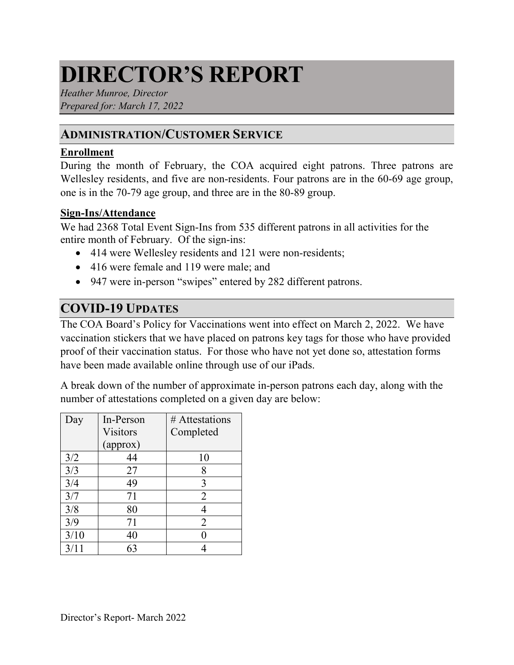# **DIRECTOR'S REPORT**

*Heather Munroe, Director Prepared for: March 17, 2022*

# **ADMINISTRATION/CUSTOMER SERVICE**

#### **Enrollment**

During the month of February, the COA acquired eight patrons. Three patrons are Wellesley residents, and five are non-residents. Four patrons are in the 60-69 age group, one is in the 70-79 age group, and three are in the 80-89 group.

#### **Sign-Ins/Attendance**

We had 2368 Total Event Sign-Ins from 535 different patrons in all activities for the entire month of February. Of the sign-ins:

- 414 were Wellesley residents and 121 were non-residents;
- 416 were female and 119 were male; and
- 947 were in-person "swipes" entered by 282 different patrons.

# **COVID-19 UPDATES**

The COA Board's Policy for Vaccinations went into effect on March 2, 2022. We have vaccination stickers that we have placed on patrons key tags for those who have provided proof of their vaccination status. For those who have not yet done so, attestation forms have been made available online through use of our iPads.

A break down of the number of approximate in-person patrons each day, along with the number of attestations completed on a given day are below:

| Day  | In-Person       | # Attestations |
|------|-----------------|----------------|
|      | <b>Visitors</b> | Completed      |
|      | (approx)        |                |
| 3/2  | 44              | 10             |
| 3/3  | 27              | 8              |
| 3/4  | 49              | 3              |
| 3/7  | 71              | 2              |
| 3/8  | 80              |                |
| 3/9  | 71              | 2              |
| 3/10 | 40              |                |
| 3/11 |                 |                |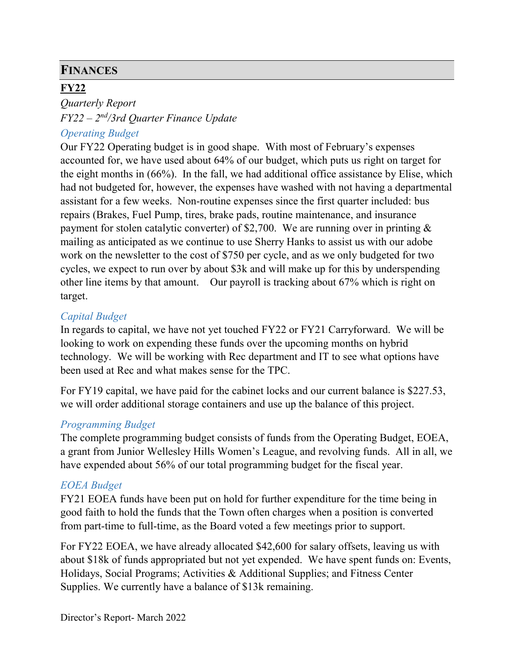# **FINANCES**

# **FY22**

*Quarterly Report FY22 – 2nd/3rd Quarter Finance Update*

### *Operating Budget*

Our FY22 Operating budget is in good shape. With most of February's expenses accounted for, we have used about 64% of our budget, which puts us right on target for the eight months in (66%). In the fall, we had additional office assistance by Elise, which had not budgeted for, however, the expenses have washed with not having a departmental assistant for a few weeks. Non-routine expenses since the first quarter included: bus repairs (Brakes, Fuel Pump, tires, brake pads, routine maintenance, and insurance payment for stolen catalytic converter) of \$2,700. We are running over in printing & mailing as anticipated as we continue to use Sherry Hanks to assist us with our adobe work on the newsletter to the cost of \$750 per cycle, and as we only budgeted for two cycles, we expect to run over by about \$3k and will make up for this by underspending other line items by that amount. Our payroll is tracking about 67% which is right on target.

### *Capital Budget*

In regards to capital, we have not yet touched FY22 or FY21 Carryforward. We will be looking to work on expending these funds over the upcoming months on hybrid technology. We will be working with Rec department and IT to see what options have been used at Rec and what makes sense for the TPC.

For FY19 capital, we have paid for the cabinet locks and our current balance is \$227.53, we will order additional storage containers and use up the balance of this project.

#### *Programming Budget*

The complete programming budget consists of funds from the Operating Budget, EOEA, a grant from Junior Wellesley Hills Women's League, and revolving funds. All in all, we have expended about 56% of our total programming budget for the fiscal year.

### *EOEA Budget*

FY21 EOEA funds have been put on hold for further expenditure for the time being in good faith to hold the funds that the Town often charges when a position is converted from part-time to full-time, as the Board voted a few meetings prior to support.

For FY22 EOEA, we have already allocated \$42,600 for salary offsets, leaving us with about \$18k of funds appropriated but not yet expended. We have spent funds on: Events, Holidays, Social Programs; Activities & Additional Supplies; and Fitness Center Supplies. We currently have a balance of \$13k remaining.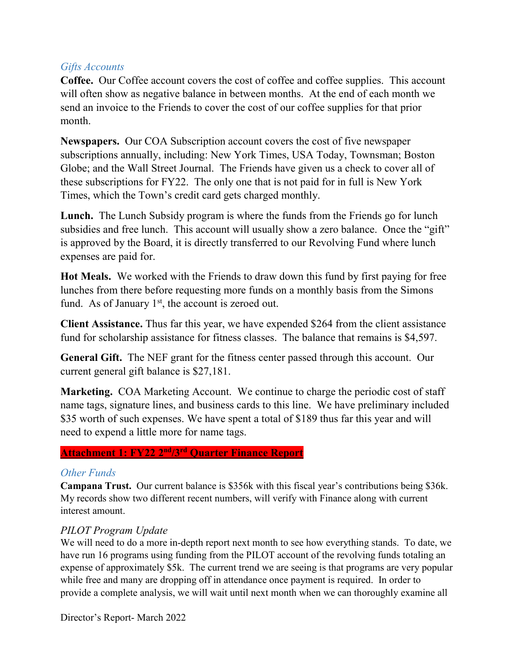#### *Gifts Accounts*

**Coffee.** Our Coffee account covers the cost of coffee and coffee supplies. This account will often show as negative balance in between months. At the end of each month we send an invoice to the Friends to cover the cost of our coffee supplies for that prior month.

**Newspapers.** Our COA Subscription account covers the cost of five newspaper subscriptions annually, including: New York Times, USA Today, Townsman; Boston Globe; and the Wall Street Journal. The Friends have given us a check to cover all of these subscriptions for FY22. The only one that is not paid for in full is New York Times, which the Town's credit card gets charged monthly.

**Lunch.** The Lunch Subsidy program is where the funds from the Friends go for lunch subsidies and free lunch. This account will usually show a zero balance. Once the "gift" is approved by the Board, it is directly transferred to our Revolving Fund where lunch expenses are paid for.

**Hot Meals.** We worked with the Friends to draw down this fund by first paying for free lunches from there before requesting more funds on a monthly basis from the Simons fund. As of January  $1<sup>st</sup>$ , the account is zeroed out.

**Client Assistance.** Thus far this year, we have expended \$264 from the client assistance fund for scholarship assistance for fitness classes. The balance that remains is \$4,597.

**General Gift.** The NEF grant for the fitness center passed through this account. Our current general gift balance is \$27,181.

**Marketing.** COA Marketing Account. We continue to charge the periodic cost of staff name tags, signature lines, and business cards to this line. We have preliminary included \$35 worth of such expenses. We have spent a total of \$189 thus far this year and will need to expend a little more for name tags.

#### **Attachment 1: FY22 2nd/3rd Quarter Finance Report**

#### *Other Funds*

**Campana Trust.** Our current balance is \$356k with this fiscal year's contributions being \$36k. My records show two different recent numbers, will verify with Finance along with current interest amount.

### *PILOT Program Update*

We will need to do a more in-depth report next month to see how everything stands. To date, we have run 16 programs using funding from the PILOT account of the revolving funds totaling an expense of approximately \$5k. The current trend we are seeing is that programs are very popular while free and many are dropping off in attendance once payment is required. In order to provide a complete analysis, we will wait until next month when we can thoroughly examine all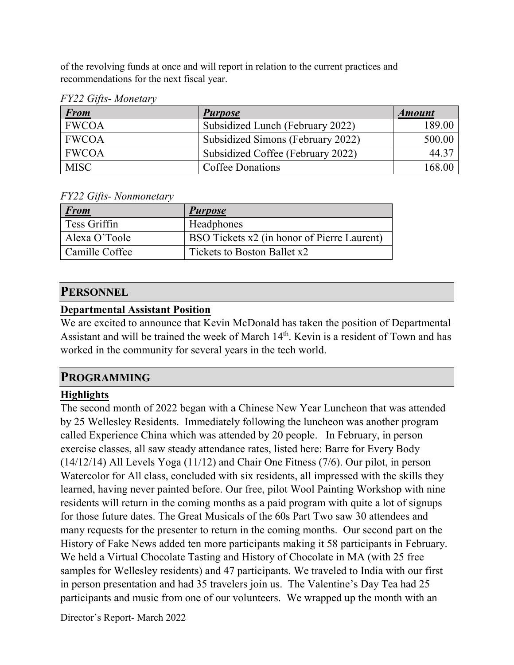of the revolving funds at once and will report in relation to the current practices and recommendations for the next fiscal year.

|  |  | FY22 Gifts-Monetary |
|--|--|---------------------|
|--|--|---------------------|

| <b>From</b>  | <b>Purpose</b>                    | <b>Amount</b>      |
|--------------|-----------------------------------|--------------------|
| <b>FWCOA</b> | Subsidized Lunch (February 2022)  | 189.00             |
| <b>FWCOA</b> | Subsidized Simons (February 2022) | 500.00             |
| <b>FWCOA</b> | Subsidized Coffee (February 2022) | 44.37              |
| <b>MISC</b>  | Coffee Donations                  | 168.0 <sup>c</sup> |

*FY22 Gifts- Nonmonetary*

| <u>From</u>    | <b>Purpose</b>                              |
|----------------|---------------------------------------------|
| Tess Griffin   | Headphones                                  |
| Alexa O'Toole  | BSO Tickets x2 (in honor of Pierre Laurent) |
| Camille Coffee | Tickets to Boston Ballet x2                 |

# **PERSONNEL**

#### **Departmental Assistant Position**

We are excited to announce that Kevin McDonald has taken the position of Departmental Assistant and will be trained the week of March 14<sup>th</sup>. Kevin is a resident of Town and has worked in the community for several years in the tech world.

### **PROGRAMMING**

# **Highlights**

The second month of 2022 began with a Chinese New Year Luncheon that was attended by 25 Wellesley Residents. Immediately following the luncheon was another program called Experience China which was attended by 20 people. In February, in person exercise classes, all saw steady attendance rates, listed here: Barre for Every Body (14/12/14) All Levels Yoga (11/12) and Chair One Fitness (7/6). Our pilot, in person Watercolor for All class, concluded with six residents, all impressed with the skills they learned, having never painted before. Our free, pilot Wool Painting Workshop with nine residents will return in the coming months as a paid program with quite a lot of signups for those future dates. The Great Musicals of the 60s Part Two saw 30 attendees and many requests for the presenter to return in the coming months. Our second part on the History of Fake News added ten more participants making it 58 participants in February. We held a Virtual Chocolate Tasting and History of Chocolate in MA (with 25 free samples for Wellesley residents) and 47 participants. We traveled to India with our first in person presentation and had 35 travelers join us. The Valentine's Day Tea had 25 participants and music from one of our volunteers. We wrapped up the month with an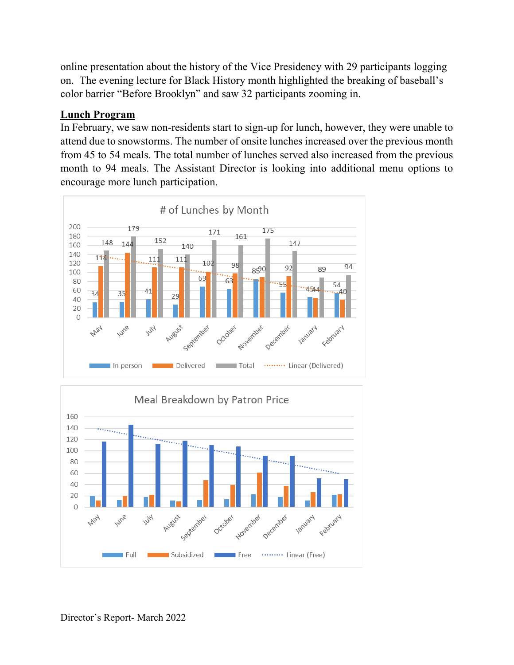online presentation about the history of the Vice Presidency with 29 participants logging on. The evening lecture for Black History month highlighted the breaking of baseball's color barrier "Before Brooklyn" and saw 32 participants zooming in.

### **Lunch Program**

In February, we saw non-residents start to sign-up for lunch, however, they were unable to attend due to snowstorms. The number of onsite lunches increased over the previous month from 45 to 54 meals. The total number of lunches served also increased from the previous month to 94 meals. The Assistant Director is looking into additional menu options to encourage more lunch participation.



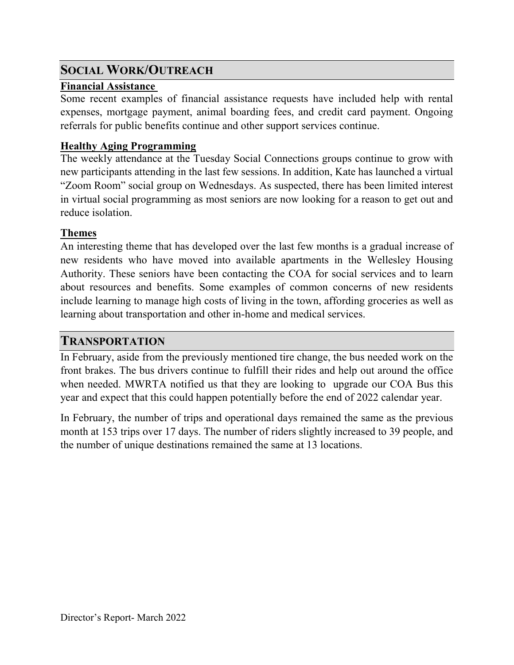# **SOCIAL WORK/OUTREACH**

### **Financial Assistance**

Some recent examples of financial assistance requests have included help with rental expenses, mortgage payment, animal boarding fees, and credit card payment. Ongoing referrals for public benefits continue and other support services continue.

# **Healthy Aging Programming**

The weekly attendance at the Tuesday Social Connections groups continue to grow with new participants attending in the last few sessions. In addition, Kate has launched a virtual "Zoom Room" social group on Wednesdays. As suspected, there has been limited interest in virtual social programming as most seniors are now looking for a reason to get out and reduce isolation.

# **Themes**

An interesting theme that has developed over the last few months is a gradual increase of new residents who have moved into available apartments in the Wellesley Housing Authority. These seniors have been contacting the COA for social services and to learn about resources and benefits. Some examples of common concerns of new residents include learning to manage high costs of living in the town, affording groceries as well as learning about transportation and other in-home and medical services.

# **TRANSPORTATION**

In February, aside from the previously mentioned tire change, the bus needed work on the front brakes. The bus drivers continue to fulfill their rides and help out around the office when needed. MWRTA notified us that they are looking to upgrade our COA Bus this year and expect that this could happen potentially before the end of 2022 calendar year.

In February, the number of trips and operational days remained the same as the previous month at 153 trips over 17 days. The number of riders slightly increased to 39 people, and the number of unique destinations remained the same at 13 locations.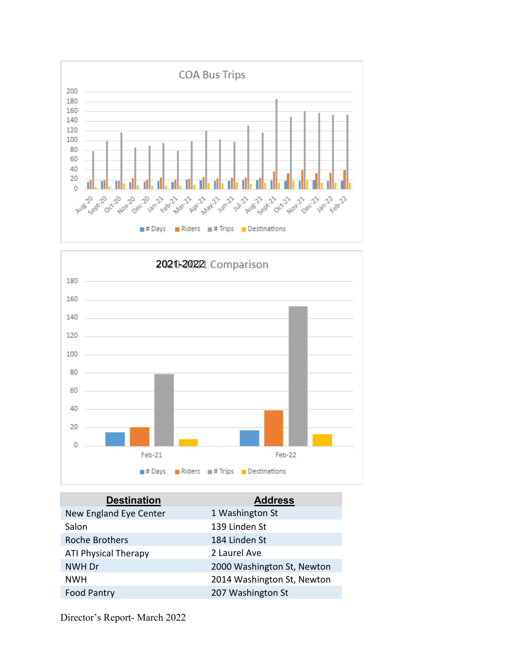



| <b>Destination</b>          | <b>Address</b>             |
|-----------------------------|----------------------------|
| New England Eye Center      | 1 Washington St            |
| Salon                       | 139 Linden St              |
| <b>Roche Brothers</b>       | 184 Linden St              |
| <b>ATI Physical Therapy</b> | 2 Laurel Ave               |
| NWH Dr                      | 2000 Washington St, Newton |
| <b>NWH</b>                  | 2014 Washington St, Newton |
| <b>Food Pantry</b>          | 207 Washington St          |
|                             |                            |

Director's Report- March 2022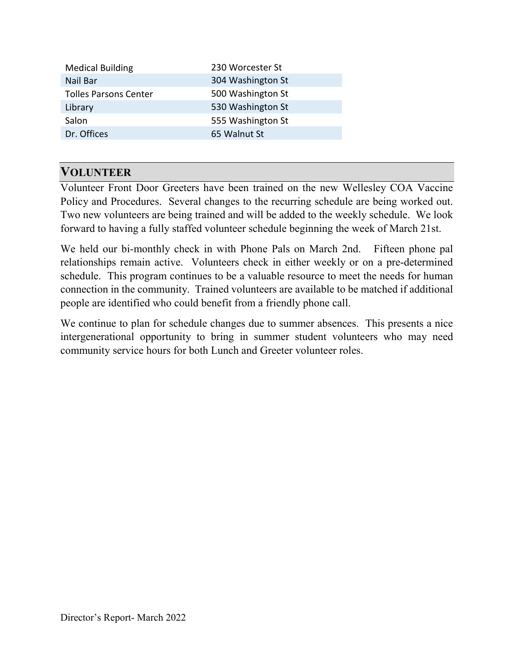| <b>Medical Building</b>      | 230 Worcester St  |
|------------------------------|-------------------|
| Nail Bar                     | 304 Washington St |
| <b>Tolles Parsons Center</b> | 500 Washington St |
| Library                      | 530 Washington St |
| Salon                        | 555 Washington St |
| Dr. Offices                  | 65 Walnut St      |
|                              |                   |

# **VOLUNTEER**

Volunteer Front Door Greeters have been trained on the new Wellesley COA Vaccine Policy and Procedures. Several changes to the recurring schedule are being worked out. Two new volunteers are being trained and will be added to the weekly schedule. We look forward to having a fully staffed volunteer schedule beginning the week of March 21st.

We held our bi-monthly check in with Phone Pals on March 2nd. Fifteen phone pal relationships remain active. Volunteers check in either weekly or on a pre-determined schedule. This program continues to be a valuable resource to meet the needs for human connection in the community. Trained volunteers are available to be matched if additional people are identified who could benefit from a friendly phone call.

We continue to plan for schedule changes due to summer absences. This presents a nice intergenerational opportunity to bring in summer student volunteers who may need community service hours for both Lunch and Greeter volunteer roles.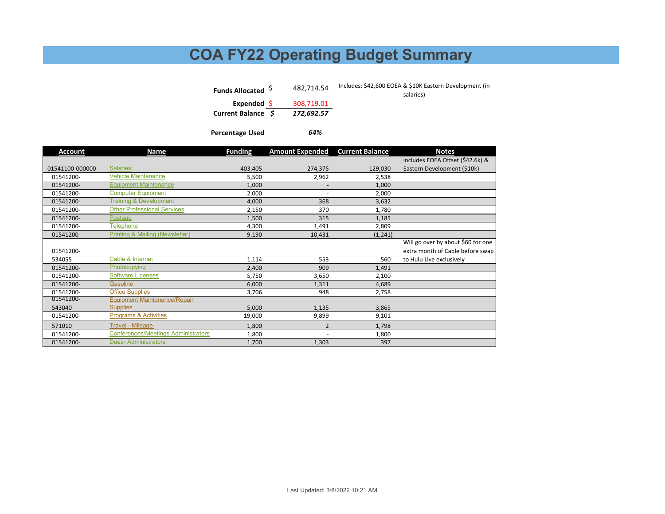# **COA FY22 Operating Budget Summary**

*64%*

| Funds Allocated <sup>S</sup> | 482.714.54 | Includes: \$42,600 EOEA & \$10K Eastern Development (in<br>salaries) |
|------------------------------|------------|----------------------------------------------------------------------|
| Expended \$                  | 308,719.01 |                                                                      |
| Current Balance \$           | 172.692.57 |                                                                      |

**Percentage Used**

| <b>Account</b>  | Name                                       | <b>Funding</b> | <b>Amount Expended</b>   | <b>Current Balance</b> | <b>Notes</b>                       |
|-----------------|--------------------------------------------|----------------|--------------------------|------------------------|------------------------------------|
|                 |                                            |                |                          |                        | Includes EOEA Offset (\$42.6k) &   |
| 01541100-000000 | <b>Salaries</b>                            | 403,405        | 274,375                  | 129,030                | Eastern Development (\$10k)        |
| 01541200-       | <b>Vehicle Maintenance</b>                 | 5,500          | 2,962                    | 2,538                  |                                    |
| 01541200-       | <b>Equipment Maintenance</b>               | 1,000          | $\overline{\phantom{a}}$ | 1,000                  |                                    |
| 01541200-       | <b>Computer Equipment</b>                  | 2,000          | $\overline{\phantom{a}}$ | 2,000                  |                                    |
| 01541200-       | <b>Training &amp; Development</b>          | 4,000          | 368                      | 3,632                  |                                    |
| 01541200-       | <b>Other Professional Services</b>         | 2,150          | 370                      | 1,780                  |                                    |
| 01541200-       | Postage                                    | 1,500          | 315                      | 1,185                  |                                    |
| 01541200-       | <b>Telephone</b>                           | 4,300          | 1,491                    | 2,809                  |                                    |
| 01541200-       | Printing & Mailing (Newsletter)            | 9,190          | 10,431                   | (1, 241)               |                                    |
|                 |                                            |                |                          |                        | Will go over by about \$60 for one |
| 01541200-       |                                            |                |                          |                        | extra month of Cable before swap   |
| 534055          | Cable & Internet                           | 1,114          | 553                      | 560                    | to Hulu Live exclusively           |
| 01541200-       | Photocopying                               | 2,400          | 909                      | 1,491                  |                                    |
| 01541200-       | <b>Software Licenses</b>                   | 5,750          | 3,650                    | 2,100                  |                                    |
| 01541200-       | Gasoline                                   | 6,000          | 1,311                    | 4,689                  |                                    |
| 01541200-       | <b>Office Supplies</b>                     | 3,706          | 948                      | 2,758                  |                                    |
| 01541200-       | <b>Equipment Maintenance/Repair</b>        |                |                          |                        |                                    |
| 543040          | <b>Supplies</b>                            | 5,000          | 1,135                    | 3,865                  |                                    |
| 01541200-       | Programs & Activities                      | 19,000         | 9,899                    | 9,101                  |                                    |
| 571010          | <b>Travel - Mileage</b>                    | 1,800          | $\overline{2}$           | 1,798                  |                                    |
| 01541200-       | <b>Conferences/Meetings Administrators</b> | 1,800          | $\overline{\phantom{a}}$ | 1,800                  |                                    |
| 01541200-       | <b>Dues-Administrators</b>                 | 1,700          | 1,303                    | 397                    |                                    |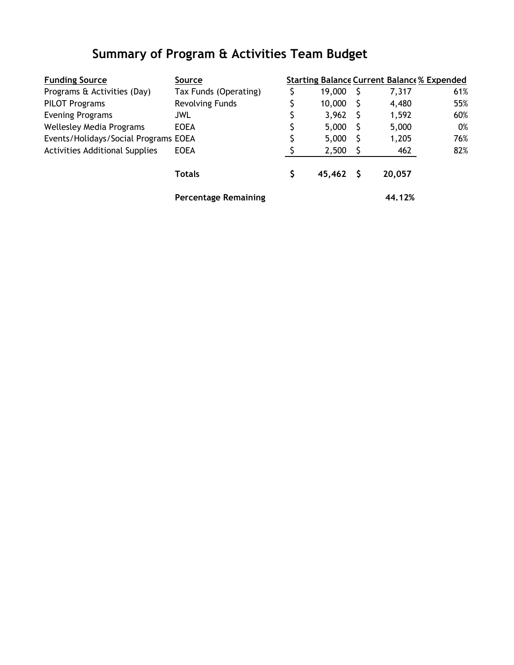# **Summary of Program & Activities Team Budget**

| <b>Funding Source</b>                 | Source                      |        | <b>Starting Balance Current Balance % Expended</b> |     |
|---------------------------------------|-----------------------------|--------|----------------------------------------------------|-----|
| Programs & Activities (Day)           | Tax Funds (Operating)       | 19,000 | 7,317                                              | 61% |
| <b>PILOT Programs</b>                 | Revolving Funds             | 10,000 | 4,480                                              | 55% |
| <b>Evening Programs</b>               | <b>JWL</b>                  | 3,962  | 1,592                                              | 60% |
| <b>Wellesley Media Programs</b>       | <b>EOEA</b>                 | 5,000  | 5,000                                              | 0%  |
| Events/Holidays/Social Programs EOEA  |                             | 5,000  | 1,205                                              | 76% |
| <b>Activities Additional Supplies</b> | <b>EOEA</b>                 | 2,500  | 462                                                | 82% |
|                                       | <b>Totals</b>               | 45,462 | 20,057                                             |     |
|                                       | <b>Percentage Remaining</b> |        | 44.12%                                             |     |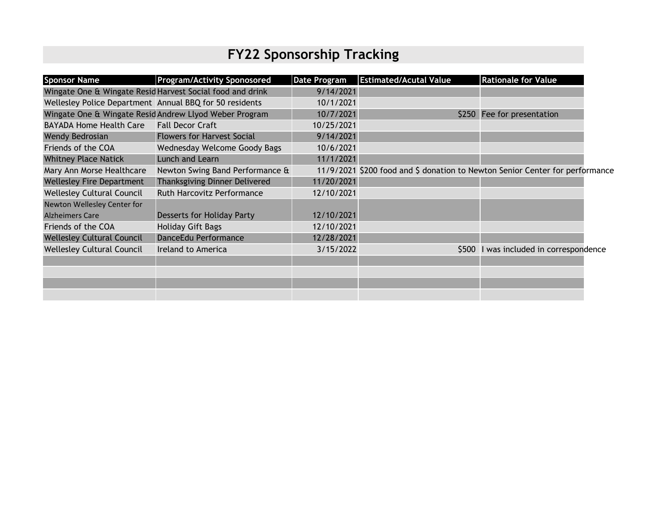# **FY22 Sponsorship Tracking**

| <b>Sponsor Name</b>                                     | <b>Program/Activity Sponosored</b>                        | <b>Date Program</b> | <b>Estimated/Acutal Value</b>                                                | <b>Rationale for Value</b>             |  |
|---------------------------------------------------------|-----------------------------------------------------------|---------------------|------------------------------------------------------------------------------|----------------------------------------|--|
|                                                         | Wingate One & Wingate Resid Harvest Social food and drink | 9/14/2021           |                                                                              |                                        |  |
| Wellesley Police Department Annual BBQ for 50 residents |                                                           | 10/1/2021           |                                                                              |                                        |  |
|                                                         | Wingate One & Wingate Resid Andrew Llyod Weber Program    | 10/7/2021           |                                                                              | \$250 Fee for presentation             |  |
| <b>BAYADA Home Health Care</b>                          | <b>Fall Decor Craft</b>                                   | 10/25/2021          |                                                                              |                                        |  |
| Wendy Bedrosian                                         | <b>Flowers for Harvest Social</b>                         | 9/14/2021           |                                                                              |                                        |  |
| Friends of the COA                                      | Wednesday Welcome Goody Bags                              | 10/6/2021           |                                                                              |                                        |  |
| <b>Whitney Place Natick</b>                             | Lunch and Learn                                           | 11/1/2021           |                                                                              |                                        |  |
| Mary Ann Morse Healthcare                               | Newton Swing Band Performance &                           |                     | 11/9/2021 \$200 food and \$ donation to Newton Senior Center for performance |                                        |  |
| <b>Wellesley Fire Department</b>                        | Thanksgiving Dinner Delivered                             | 11/20/2021          |                                                                              |                                        |  |
| <b>Wellesley Cultural Council</b>                       | Ruth Harcovitz Performance                                | 12/10/2021          |                                                                              |                                        |  |
| Newton Wellesley Center for                             |                                                           |                     |                                                                              |                                        |  |
| <b>Alzheimers Care</b>                                  | <b>Desserts for Holiday Party</b>                         | 12/10/2021          |                                                                              |                                        |  |
| Friends of the COA                                      | <b>Holiday Gift Bags</b>                                  | 12/10/2021          |                                                                              |                                        |  |
| <b>Wellesley Cultural Council</b>                       | DanceEdu Performance                                      | 12/28/2021          |                                                                              |                                        |  |
| <b>Wellesley Cultural Council</b>                       | Ireland to America                                        | 3/15/2022           |                                                                              | \$500 I was included in correspondence |  |
|                                                         |                                                           |                     |                                                                              |                                        |  |
|                                                         |                                                           |                     |                                                                              |                                        |  |
|                                                         |                                                           |                     |                                                                              |                                        |  |
|                                                         |                                                           |                     |                                                                              |                                        |  |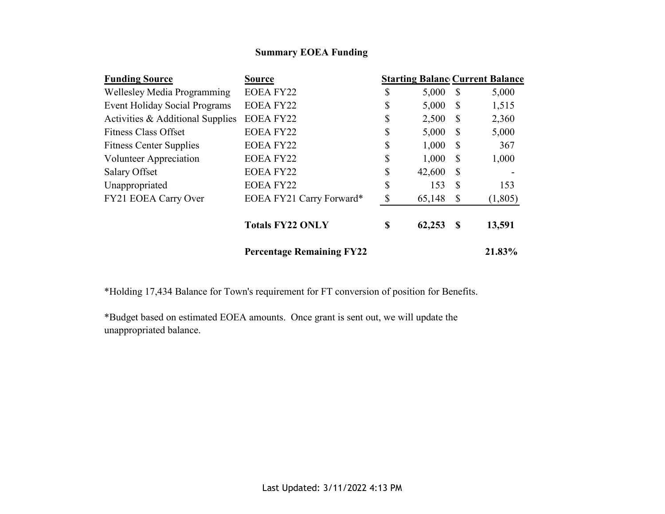#### **Summary EOEA Funding**

| <b>Funding Source</b>                | <b>Source</b>                    |              |              | <b>Starting Balanc Current Balance</b> |
|--------------------------------------|----------------------------------|--------------|--------------|----------------------------------------|
| Wellesley Media Programming          | <b>EOEA FY22</b>                 | \$<br>5,000  | $\mathbb{S}$ | 5,000                                  |
| <b>Event Holiday Social Programs</b> | <b>EOEA FY22</b>                 | \$<br>5,000  | $\mathbb{S}$ | 1,515                                  |
| Activities & Additional Supplies     | <b>EOEA FY22</b>                 | \$<br>2,500  | <sup>S</sup> | 2,360                                  |
| <b>Fitness Class Offset</b>          | <b>EOEA FY22</b>                 | \$<br>5,000  | S            | 5,000                                  |
| <b>Fitness Center Supplies</b>       | <b>EOEA FY22</b>                 | \$<br>1,000  | S            | 367                                    |
| Volunteer Appreciation               | <b>EOEA FY22</b>                 | \$<br>1,000  | <sup>S</sup> | 1,000                                  |
| <b>Salary Offset</b>                 | <b>EOEA FY22</b>                 | \$<br>42,600 | S            |                                        |
| Unappropriated                       | <b>EOEA FY22</b>                 | \$<br>153    | S            | 153                                    |
| FY21 EOEA Carry Over                 | EOEA FY21 Carry Forward*         | \$<br>65,148 | S            | (1,805)                                |
|                                      | <b>Totals FY22 ONLY</b>          | \$<br>62,253 | S            | 13,591                                 |
|                                      | <b>Percentage Remaining FY22</b> |              |              | 21.83%                                 |

\*Holding 17,434 Balance for Town's requirement for FT conversion of position for Benefits.

\*Budget based on estimated EOEA amounts. Once grant is sent out, we will update the unappropriated balance.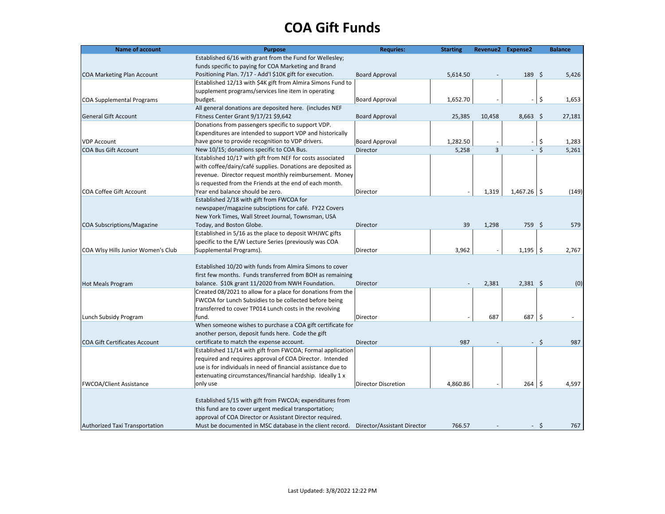# **COA Gift Funds**

| <b>Name of account</b>               | <b>Purpose</b>                                                | <b>Requries:</b>            | <b>Starting</b> |        | Revenue2 Expense2 | <b>Balance</b>      |
|--------------------------------------|---------------------------------------------------------------|-----------------------------|-----------------|--------|-------------------|---------------------|
|                                      | Established 6/16 with grant from the Fund for Wellesley;      |                             |                 |        |                   |                     |
|                                      | funds specific to paying for COA Marketing and Brand          |                             |                 |        |                   |                     |
| <b>COA Marketing Plan Account</b>    | Positioning Plan. 7/17 - Add'l \$10K gift for execution.      | <b>Board Approval</b>       | 5,614.50        |        | 189               | - \$<br>5,426       |
|                                      | Established 12/13 with \$4K gift from Almira Simons Fund to   |                             |                 |        |                   |                     |
|                                      | supplement programs/services line item in operating           |                             |                 |        |                   |                     |
| <b>COA Supplemental Programs</b>     | budget.                                                       | <b>Board Approval</b>       | 1,652.70        |        |                   | \$<br>1,653         |
|                                      | All general donations are deposited here. (includes NEF       |                             |                 |        |                   |                     |
| <b>General Gift Account</b>          | Fitness Center Grant 9/17/21 \$9,642                          | <b>Board Approval</b>       | 25,385          | 10,458 | $8,663$ \$        | 27,181              |
|                                      | Donations from passengers specific to support VDP.            |                             |                 |        |                   |                     |
|                                      | Expenditures are intended to support VDP and historically     |                             |                 |        |                   |                     |
| <b>VDP Account</b>                   | have gone to provide recognition to VDP drivers.              | <b>Board Approval</b>       | 1,282.50        |        |                   | \$<br>1,283         |
| <b>COA Bus Gift Account</b>          | New 10/15; donations specific to COA Bus.                     | Director                    | 5,258           | 3      | $\omega$          | \$<br>5,261         |
|                                      | Established 10/17 with gift from NEF for costs associated     |                             |                 |        |                   |                     |
|                                      | with coffee/dairy/café supplies. Donations are deposited as   |                             |                 |        |                   |                     |
|                                      | revenue. Director request monthly reimbursement. Money        |                             |                 |        |                   |                     |
|                                      | is requested from the Friends at the end of each month.       |                             |                 |        |                   |                     |
| <b>COA Coffee Gift Account</b>       | Year end balance should be zero.                              | Director                    |                 | 1,319  | $1,467.26$ \$     | (149)               |
|                                      | Established 2/18 with gift from FWCOA for                     |                             |                 |        |                   |                     |
|                                      | newspaper/magazine subsciptions for café. FY22 Covers         |                             |                 |        |                   |                     |
|                                      | New York Times, Wall Street Journal, Townsman, USA            |                             |                 |        |                   |                     |
| <b>COA Subscriptions/Magazine</b>    | Today, and Boston Globe.                                      | Director                    | 39              | 1,298  | 759 \$            | 579                 |
|                                      | Established in 5/16 as the place to deposit WHJWC gifts       |                             |                 |        |                   |                     |
|                                      |                                                               |                             |                 |        |                   |                     |
|                                      | specific to the E/W Lecture Series (previously was COA        |                             |                 |        |                   |                     |
| COA Wlsy Hills Junior Women's Club   | Supplemental Programs).                                       | Director                    | 3,962           |        | 1,195             | 5<br>2,767          |
|                                      |                                                               |                             |                 |        |                   |                     |
|                                      | Established 10/20 with funds from Almira Simons to cover      |                             |                 |        |                   |                     |
|                                      | first few months. Funds transferred from BOH as remaining     |                             |                 |        |                   |                     |
| <b>Hot Meals Program</b>             | balance. \$10k grant 11/2020 from NWH Foundation.             | Director                    |                 | 2,381  | $2,381$ \$        | (0)                 |
|                                      | Created 08/2021 to allow for a place for donations from the   |                             |                 |        |                   |                     |
|                                      | FWCOA for Lunch Subsidies to be collected before being        |                             |                 |        |                   |                     |
|                                      | transferred to cover TP014 Lunch costs in the revolving       |                             |                 |        |                   |                     |
| Lunch Subsidy Program                | fund.                                                         | Director                    |                 | 687    | 687               | $\mathsf{S}$        |
|                                      | When someone wishes to purchase a COA gift certificate for    |                             |                 |        |                   |                     |
|                                      | another person, deposit funds here. Code the gift             |                             |                 |        |                   |                     |
| <b>COA Gift Certificates Account</b> | certificate to match the expense account.                     | Director                    | 987             |        |                   | $\mathsf{S}$<br>987 |
|                                      | Established 11/14 with gift from FWCOA; Formal application    |                             |                 |        |                   |                     |
|                                      | required and requires approval of COA Director. Intended      |                             |                 |        |                   |                     |
|                                      | use is for individuals in need of financial assistance due to |                             |                 |        |                   |                     |
|                                      | extenuating circumstances/financial hardship. Ideally 1 x     |                             |                 |        |                   |                     |
| <b>FWCOA/Client Assistance</b>       | only use                                                      | <b>Director Discretion</b>  | 4,860.86        |        | 264               | \$.<br>4,597        |
|                                      |                                                               |                             |                 |        |                   |                     |
|                                      | Established 5/15 with gift from FWCOA; expenditures from      |                             |                 |        |                   |                     |
|                                      | this fund are to cover urgent medical transportation;         |                             |                 |        |                   |                     |
|                                      | approval of COA Director or Assistant Director required.      |                             |                 |        |                   |                     |
| Authorized Taxi Transportation       | Must be documented in MSC database in the client record.      | Director/Assistant Director | 766.57          |        | - \$              | 767                 |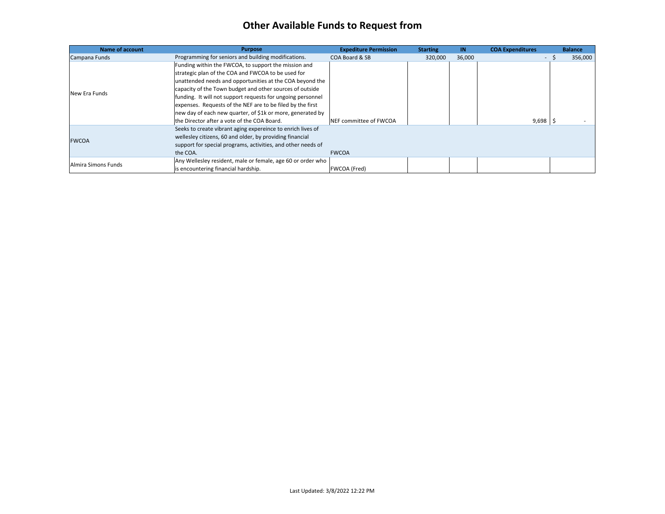#### **Other Available Funds to Request from**

| <b>Name of account</b> | <b>Purpose</b>                                               | <b>Expediture Permission</b> | <b>Starting</b> | IN.    | <b>COA Expenditures</b> |     | <b>Balance</b> |
|------------------------|--------------------------------------------------------------|------------------------------|-----------------|--------|-------------------------|-----|----------------|
| Campana Funds          | Programming for seniors and building modifications.          | COA Board & SB               | 320,000         | 36,000 |                         | - 5 | 356,000        |
| New Era Funds          | Funding within the FWCOA, to support the mission and         |                              |                 |        |                         |     |                |
|                        | strategic plan of the COA and FWCOA to be used for           |                              |                 |        |                         |     |                |
|                        | unattended needs and opportunities at the COA beyond the     |                              |                 |        |                         |     |                |
|                        | capacity of the Town budget and other sources of outside     |                              |                 |        |                         |     |                |
|                        | funding. It will not support requests for ungoing personnel  |                              |                 |        |                         |     |                |
|                        | expenses. Requests of the NEF are to be filed by the first   |                              |                 |        |                         |     |                |
|                        | new day of each new quarter, of \$1k or more, generated by   |                              |                 |        |                         |     |                |
|                        | the Director after a vote of the COA Board.                  | NEF committee of FWCOA       |                 |        | $9,698$   \$            |     |                |
| <b>FWCOA</b>           | Seeks to create vibrant aging expereince to enrich lives of  |                              |                 |        |                         |     |                |
|                        | wellesley citizens, 60 and older, by providing financial     |                              |                 |        |                         |     |                |
|                        | support for special programs, activities, and other needs of |                              |                 |        |                         |     |                |
|                        | the COA.                                                     | <b>FWCOA</b>                 |                 |        |                         |     |                |
| Almira Simons Funds    | Any Wellesley resident, male or female, age 60 or order who  |                              |                 |        |                         |     |                |
|                        | is encountering financial hardship.                          | <b>FWCOA (Fred)</b>          |                 |        |                         |     |                |